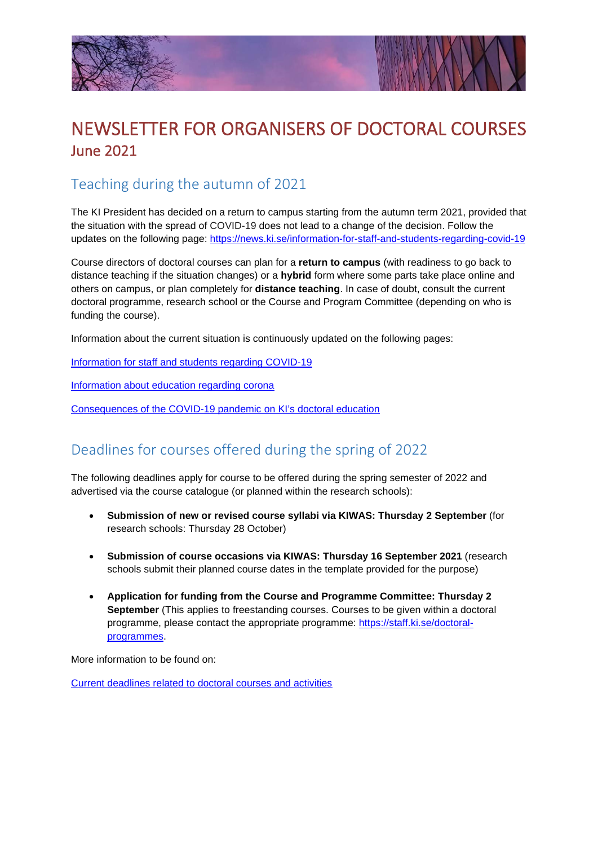



# NEWSLETTER FOR ORGANISERS OF DOCTORAL COURSES June 2021

## Teaching during the autumn of 2021

The KI President has decided on a return to campus starting from the autumn term 2021, provided that the situation with the spread of COVID-19 does not lead to a change of the decision. Follow the updates on the following page:<https://news.ki.se/information-for-staff-and-students-regarding-covid-19>

Course directors of doctoral courses can plan for a **return to campus** (with readiness to go back to distance teaching if the situation changes) or a **hybrid** form where some parts take place online and others on campus, or plan completely for **distance teaching**. In case of doubt, consult the current doctoral programme, research school or the Course and Program Committee (depending on who is funding the course).

Information about the current situation is continuously updated on the following pages:

[Information for staff and students regarding COVID-19](https://news.ki.se/information-for-staff-and-students-regarding-covid-19)

Information about education regarding corona

[Consequences of the COVID-19 pandemic on KI's doctoral education](https://staff.ki.se/consequences-of-the-covid-19-pandemic-on-kis-doctoral-education)

#### Deadlines for courses offered during the spring of 2022

The following deadlines apply for course to be offered during the spring semester of 2022 and advertised via the course catalogue (or planned within the research schools):

- **Submission of new or revised course syllabi via KIWAS: Thursday 2 September** (for research schools: Thursday 28 October)
- **Submission of course occasions via KIWAS: Thursday 16 September 2021** (research schools submit their planned course dates in the template provided for the purpose)
- **Application for funding from the Course and Programme Committee: Thursday 2 September** (This applies to freestanding courses. Courses to be given within a doctoral programme, please contact the appropriate programme: [https://staff.ki.se/doctoral](https://staff.ki.se/doctoral-programmes)[programmes.](https://staff.ki.se/doctoral-programmes)

More information to be found on:

[Current deadlines related to doctoral courses and activities](https://staff.ki.se/current-deadlines-related-to-doctoral-courses-and-activities)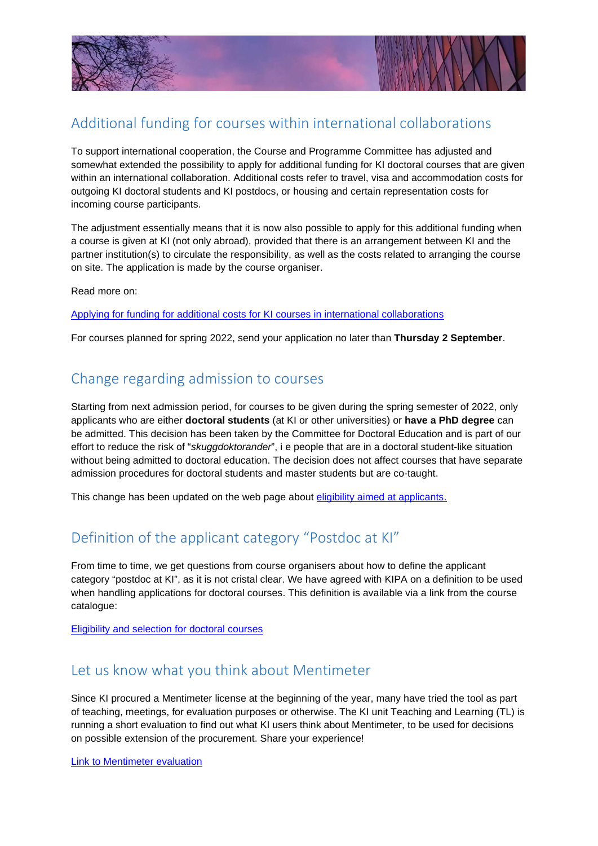



## Additional funding for courses within international collaborations

To support international cooperation, the Course and Programme Committee has adjusted and somewhat extended the possibility to apply for additional funding for KI doctoral courses that are given within an international collaboration. Additional costs refer to travel, visa and accommodation costs for outgoing KI doctoral students and KI postdocs, or housing and certain representation costs for incoming course participants.

The adjustment essentially means that it is now also possible to apply for this additional funding when a course is given at KI (not only abroad), provided that there is an arrangement between KI and the partner institution(s) to circulate the responsibility, as well as the costs related to arranging the course on site. The application is made by the course organiser.

Read more on:

[Applying for funding for additional costs for KI courses in international collaborations](https://staff.ki.se/applying-for-funding-for-additional-costs-for-ki-courses-in-international-collaborations)

For courses planned for spring 2022, send your application no later than **Thursday 2 September**.

#### Change regarding admission to courses

Starting from next admission period, for courses to be given during the spring semester of 2022, only applicants who are either **doctoral students** (at KI or other universities) or **have a PhD degree** can be admitted. This decision has been taken by the Committee for Doctoral Education and is part of our effort to reduce the risk of "*skuggdoktorander*", i e people that are in a doctoral student-like situation without being admitted to doctoral education. The decision does not affect courses that have separate admission procedures for doctoral students and master students but are co-taught.

This change has been updated on the web page about [eligibility aimed at applicants.](https://staff.ki.se/eligibility-and-selection-for-doctoral-courses)

## Definition of the applicant category "Postdoc at KI"

From time to time, we get questions from course organisers about how to define the applicant category "postdoc at KI", as it is not cristal clear. We have agreed with KIPA on a definition to be used when handling applications for doctoral courses. This definition is available via a link from the course catalogue:

[Eligibility and selection for doctoral courses](https://staff.ki.se/eligibility-and-selection-for-doctoral-courses)

#### Let us know what you think about Mentimeter

Since KI procured a Mentimeter license at the beginning of the year, many have tried the tool as part of teaching, meetings, for evaluation purposes or otherwise. The KI unit Teaching and Learning (TL) is running a short evaluation to find out what KI users think about Mentimeter, to be used for decisions on possible extension of the procurement. Share your experience!

[Link to Mentimeter evaluation](https://www.menti.com/qu7e7or2tj/0)